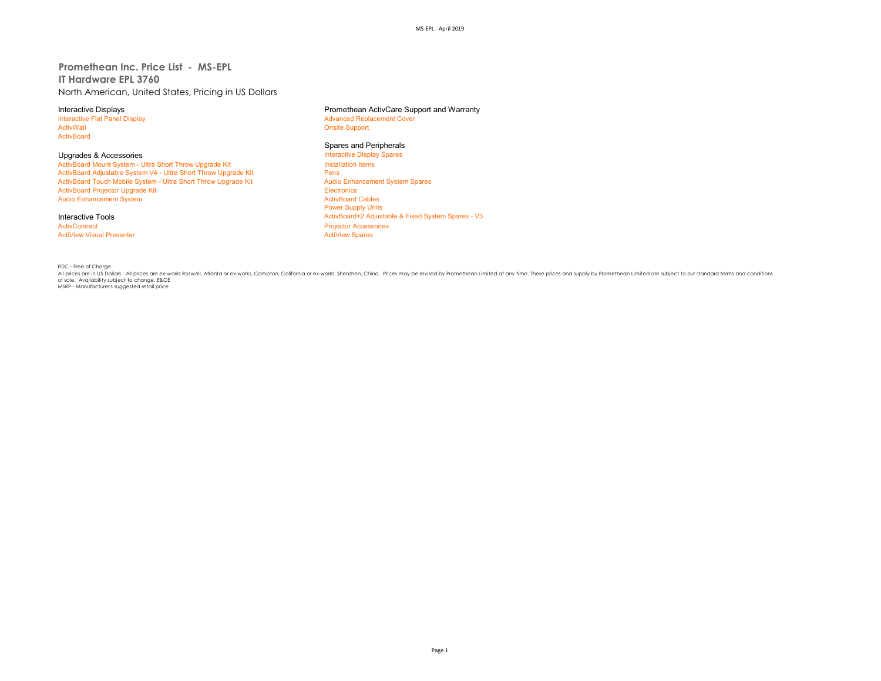## **Promethean Inc. Price List - MS-EPL IT Hardware EPL 3760** North American, United States, Pricing in US Dollars

Interactive Flat Panel Display and The Text of Advanced Replacement Cover<br>
Advanced Replacement Cover<br>
Advanced Replacement Cover ActivBoard

Upgrades & Accessories<br>
ActivBoard Mount System - Ultra Short Throw Upgrade Kit **Interactive Display Spares ActivBoard Mount System - Ultra Short Throw Upgrade Kit** ActivBoard Mount System - Ultra Short Throw Upgrade Kit Install<br>ActivBoard Adiustable System V4 - Ultra Short Throw Upgrade Kit Install ActivBoard Adjustable System V4 - Ultra Short Throw Upgrade Kit **Pens**<br>ActivBoard Touch Mobile System - Ultra Short Throw Upgrade Kit Pensill Pensill Audio Enhancement System Spares ActivBoard Touch Mobile System - Ultra Short Throw Upgrade Kit Audio Enhancement System Spares Audio Enhancement System Spares Audio Enhancement System Spares Audio Enhancement System Spares Audio Enhancement System Spares ActivBoard Projector Upgrade Kit **Electronics**<br>
ActivBoard Projector Upgrade Kit Electronics<br>
ActivBoard Cables Audio Enhancement System

# **ActiView Visual Presenter**

Interactive Displays **Interactive Displays** Promethean ActivCare Support and Warranty<br>
Interactive Flat Panel Display **Promethean ActivCare Support and Warranty** 

**Onsite Support** 

# **Spares and Peripherals<br>Interactive Display Spares**

Power Supply Units Interactive Tools<br> **Interactive Tools**<br> **ActivBoard+2 Adjustable & Fixed System Spares - V3**<br> **ActivBoard+2 Adjustable & Fixed System Spares - V3** Projector Accessories<br>ActiView Spares

FOC - Free of Charge.<br>All prices are in US Dollars - All prices are ex-works Roswell, Atlanta or ex-works, Compton, Califomia or ex-works, Shenzhen, China. Prices may be revised by Promethean Limited at any time. These pri of sale. Availability subject to change. E&OE<br>MSRP - Manufacturer's suggested retail price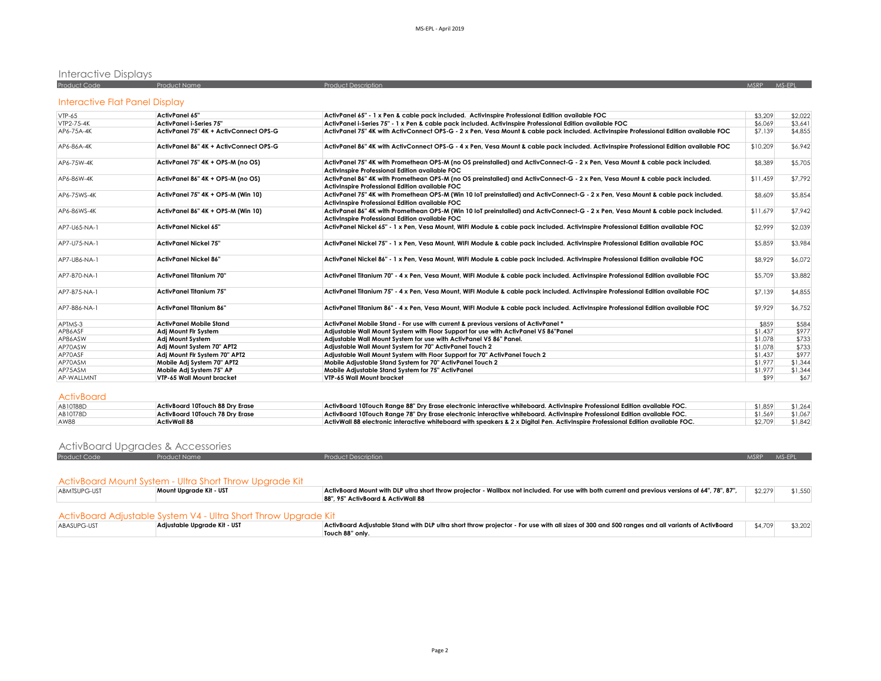### Interactive Displays

| 1.11         |                     |                            |       |         |  |
|--------------|---------------------|----------------------------|-------|---------|--|
| Product Code | <b>Product Name</b> | <b>Product Description</b> | MSRP. | $MS-FP$ |  |
|              |                     |                            |       |         |  |

# Interactive Flat Panel Display

| $VTP-65$     | ActivPanel 65"                         | ActivPanel 65" - 1 x Pen & cable pack included. ActivInspire Professional Edition available FOC                                                                                      | \$3,209  | \$2,022 |
|--------------|----------------------------------------|--------------------------------------------------------------------------------------------------------------------------------------------------------------------------------------|----------|---------|
| VTP2-75-4K   | <b>ActivPanel i-Series 75"</b>         | ActivPanel i-Series 75" - 1 x Pen & cable pack included. ActivInspire Professional Edition available FOC                                                                             | \$6,069  | \$3,641 |
| AP6-75A-4K   | ActivPanel 75" 4K + ActivConnect OPS-G | ActivPanel 75" 4K with ActivConnect OPS-G - 2 x Pen, Vesa Mount & cable pack included. ActivInspire Professional Edition available FOC                                               | \$7,139  | \$4,855 |
| AP6-86A-4K   | ActivPanel 86" 4K + ActivConnect OPS-G | ActivPanel 86" 4K with ActivConnect OPS-G - 4 x Pen, Vesa Mount & cable pack included. ActivInspire Professional Edition available FOC                                               | \$10,209 | \$6.942 |
| AP6-75W-4K   | ActivPanel 75" 4K + OPS-M (no OS)      | ActivPanel 75" 4K with Promethean OPS-M (no OS preinstalled) and ActivConnect-G - 2 x Pen, Vesa Mount & cable pack included.<br>ActivInspire Professional Edition available FOC      | \$8,389  | \$5,705 |
| AP6-86W-4K   | ActivPanel 86" 4K + OPS-M (no OS)      | ActivPanel 86" 4K with Promethean OPS-M (no OS preinstalled) and ActivConnect-G - 2 x Pen, Vesa Mount & cable pack included.<br>ActivInspire Professional Edition available FOC      | \$11,459 | \$7,792 |
| AP6-75WS-4K  | ActivPanel 75" 4K + OPS-M (Win 10)     | ActivPanel 75" 4K with Promethean OPS-M (Win 10 loT preinstalled) and ActivConnect-G - 2 x Pen, Vesa Mount & cable pack included.<br>Activinspire Professional Edition available FOC | \$8,609  | \$5,854 |
| AP6-86WS-4K  | ActivPanel 86" 4K + OPS-M (Win 10)     | ActivPanel 86" 4K with Promethean OPS-M (Win 10 loT preinstalled) and ActivConnect-G - 2 x Pen, Vesa Mount & cable pack included.<br>Activinspire Professional Edition available FOC | \$11,679 | \$7,942 |
| AP7-U65-NA-1 | <b>ActivPanel Nickel 65"</b>           | ActivPanel Nickel 65" - 1 x Pen. Vesa Mount, WIFI Module & cable pack included. ActivInspire Professional Edition available FOC                                                      | \$2.999  | \$2,039 |
| AP7-U75-NA-1 | <b>ActivPanel Nickel 75"</b>           | ActivPanel Nickel 75" - 1 x Pen, Vesa Mount, WIFI Module & cable pack included. ActivInspire Professional Edition available FOC                                                      | \$5,859  | \$3,984 |
| AP7-U86-NA-1 | <b>ActivPanel Nickel 86"</b>           | ActivPanel Nickel 86" - 1 x Pen, Vesa Mount, WIFI Module & cable pack included. ActivInspire Professional Edition available FOC                                                      | \$8,929  | \$6,072 |
| AP7-B70-NA-1 | <b>ActivPanel Titanium 70"</b>         | ActivPanel Titanium 70" - 4 x Pen, Vesa Mount, WIFI Module & cable pack included. ActivInspire Professional Edition available FOC                                                    | \$5,709  | \$3,882 |
| AP7-B75-NA-1 | <b>ActivPanel Titanium 75"</b>         | ActivPanel Titanium 75" - 4 x Pen, Vesa Mount, WIFI Module & cable pack included. ActivInspire Professional Edition available FOC                                                    | \$7,139  | \$4,855 |
| AP7-B86-NA-1 | <b>ActivPanel Titanium 86"</b>         | ActivPanel Titanium 86" - 4 x Pen, Vesa Mount, WIFI Module & cable pack included. ActivInspire Professional Edition available FOC                                                    | \$9,929  | \$6,752 |
| APTMS-3      | <b>ActivPanel Mobile Stand</b>         | ActivPanel Mobile Stand - For use with current & previous versions of ActivPanel *                                                                                                   | \$859    | \$584   |
| AP86ASF      | Adj Mount Flr System                   | Adjustable Wall Mount System with Floor Support for use with ActivPanel V5 86"Panel                                                                                                  | \$1,437  | \$977   |
| AP86ASW      | <b>Adi Mount System</b>                | Adjustable Wall Mount System for use with ActivPanel V5 86" Panel.                                                                                                                   | \$1,078  | \$733   |
| AP70ASW      | Adi Mount System 70" APT2              | Adjustable Wall Mount System for 70" ActivPanel Touch 2                                                                                                                              | \$1,078  | \$733   |
| AP70ASF      | Adi Mount Fir System 70" APT2          | Adiustable Wall Mount System with Floor Support for 70" ActivPanel Touch 2                                                                                                           | \$1,437  | \$977   |
| AP70ASM      | Mobile Adj System 70" APT2             | Mobile Adjustable Stand System for 70" ActivPanel Touch 2                                                                                                                            | \$1,977  | \$1,344 |
| AP75ASM      | Mobile Adj System 75" AP               | Mobile Adjustable Stand System for 75" ActivPanel                                                                                                                                    | \$1,977  | \$1,344 |
| AP-WALLMNT   | VTP-65 Wall Mount bracket              | VTP-65 Wall Mount bracket                                                                                                                                                            | \$99     | \$67    |

#### ActivBoard

| AB10T88D    | ActivBoard 10Touch 88 Dry Erase | ActivBoard 10Touch Range 88" Dry Erase electronic interactive whiteboard. ActivInspire Professional Edition available FOC.       | \$1,859 | \$1.264           |
|-------------|---------------------------------|----------------------------------------------------------------------------------------------------------------------------------|---------|-------------------|
| AB10T78D    | ActivBoard 10Touch 78 Dry Erase | ActivBoard 10Touch Range 78" Dry Erase electronic interactive whiteboard. ActivInspire Professional Edition available FOC.       |         | $$1,569$ $$1,067$ |
| <b>AW88</b> | ActivWall 88                    | ActivWall 88 electronic interactive whiteboard with speakers & 2 x Diaital Pen. ActivInspire Professional Edition available FOC. | \$2.709 | \$1,842           |

### ActivBoard Upgrades & Accessories

| .            | .                   |                            |              |        |
|--------------|---------------------|----------------------------|--------------|--------|
| Product Code | <b>Product Name</b> | <b>Product Description</b> | <b>AASPP</b> | MS-FPI |
|              |                     |                            |              |        |

|              | ActivBoard Mount System - Ultra Short Throw Uparade Kit         |                                                                                                                                                 |         |         |
|--------------|-----------------------------------------------------------------|-------------------------------------------------------------------------------------------------------------------------------------------------|---------|---------|
| ABMTSUPG-UST | Mount Uparade Kit - UST                                         | ActivBoard Mount with DLP ultra short throw projector - Wallbox not included. For use with both current and previous versions of 64", 78", 87", | \$2.279 | \$1,550 |
|              |                                                                 | 88", 95" ActivBoard & ActivWall 88                                                                                                              |         |         |
|              |                                                                 |                                                                                                                                                 |         |         |
|              | ActivBoard Adjustable System V4 - Ultra Short Throw Uparade Kit |                                                                                                                                                 |         |         |
| ABASUPG-UST  | Adjustable Upgrade Kit - UST                                    | ActivBoard Adjustable Stand with DLP ultra short throw projector - For use with all sizes of 300 and 500 ranges and all variants of ActivBoard  | \$4,709 | \$3,202 |
|              |                                                                 | Touch 88" only.                                                                                                                                 |         |         |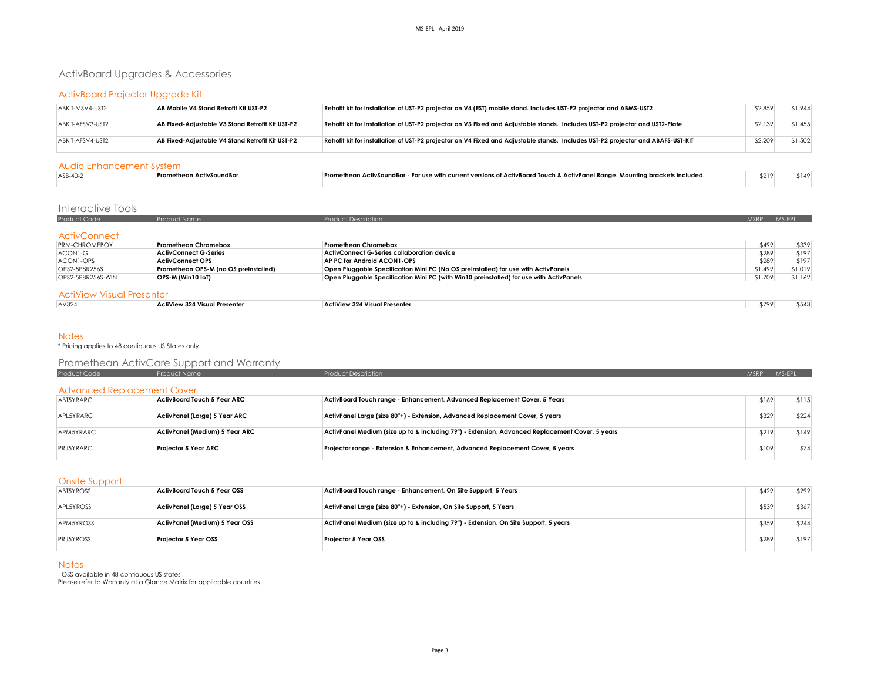# ActivBoard Upgrades & Accessories

### ActivBoard Projector Upgrade Kit

| ABKIT-MSV4-UST2  | AB Mobile V4 Stand Retrofit Kit UST-P2           | Retrofit kit for installation of UST-P2 projector on V4 (EST) mobile stand. Includes UST-P2 projector and ABMS-UST2              | \$2,859 | \$1,944 |
|------------------|--------------------------------------------------|----------------------------------------------------------------------------------------------------------------------------------|---------|---------|
| ABKIT-AFSV3-UST2 | AB Fixed-Adjustable V3 Stand Retrofit Kit UST-P2 | Retrofit kit for installation of UST-P2 projector on V3 Fixed and Adjustable stands. Includes UST-P2 projector and UST2-Plate    | \$2,139 | \$1,455 |
| ABKIT-AFSV4-UST2 | AB Fixed-Adjustable V4 Stand Retrofit Kit UST-P2 | Retrofit kit for installation of UST-P2 projector on V4 Fixed and Adjustable stands. Includes UST-P2 projector and ABAFS-UST-KIT | \$2,209 | \$1,502 |

#### Audio Enhancement System

| ASB-40-2 | : Promethean ActivSoundBar | - Promethean ActivSoundBar - For use with current versions of ActivBoard Touch & ActivPanel Range. Mounting brackets included. | \$219 | -147 |  |  |  |  |
|----------|----------------------------|--------------------------------------------------------------------------------------------------------------------------------|-------|------|--|--|--|--|
|          |                            |                                                                                                                                |       |      |  |  |  |  |

### Interactive Tools

| Product Code         | <b>Product Name</b>                   | <b>Product Description</b>                                                              | <b>MSRP</b> | MS-EPL  |
|----------------------|---------------------------------------|-----------------------------------------------------------------------------------------|-------------|---------|
|                      |                                       |                                                                                         |             |         |
| <b>ActivConnect</b>  |                                       |                                                                                         |             |         |
| <b>PRM-CHROMEBOX</b> | <b>Promethean Chromebox</b>           | Promethean Chromebox                                                                    | \$499       | \$339   |
| ACON1-G              | <b>ActivConnect G-Series</b>          | <b>ActivConnect G-Series collaboration device</b>                                       | \$289       | \$197   |
| ACON1-OPS            | <b>ActivConnect OPS</b>               | AP PC for Android ACON1-OPS                                                             | \$289       | \$197   |
| OPS2-5P8R256S        | Promethean OPS-M (no OS preinstalled) | Open Pluggable Specification Mini PC (No OS preinstalled) for use with ActivPanels      | \$1,499     | \$1,019 |
| OPS2-5P8R256S-WIN    | OPS-M (Win10 IoT)                     | Open Pluggable Specification Mini PC (with Win10 preinstalled) for use with ActivPanels | \$1,709     | \$1.162 |

#### ActiView Visual Presenter

| AV324 | ActiView 324 Visual Presenter<br>. | $\cdots$<br>v 324 Visual Presenter<br>ActiView | \$799 |  |
|-------|------------------------------------|------------------------------------------------|-------|--|
|       |                                    |                                                |       |  |

#### **Notes**

\* Pricing applies to 48 contiguous US States only.

# Promethean ActivCare Support and Warranty

| Product Code                      | Product Name                       | <b>Product Description</b>                                                                      | <b>MSRP</b> | MS-EPL |
|-----------------------------------|------------------------------------|-------------------------------------------------------------------------------------------------|-------------|--------|
| <b>Advanced Replacement Cover</b> |                                    |                                                                                                 |             |        |
| ABT5YRARC                         | <b>ActivBoard Touch 5 Year ARC</b> | ActivBoard Touch range - Enhancement, Advanced Replacement Cover, 5 Years                       | \$169       | \$115  |
| APL5YRARC                         | ActivPanel (Large) 5 Year ARC      | ActivPanel Large (size 80"+) - Extension, Advanced Replacement Cover, 5 years                   | \$329       | \$224  |
| APM5YRARC                         | ActivPanel (Medium) 5 Year ARC     | ActivPanel Medium (size up to & including 79") - Extension, Advanced Replacement Cover, 5 years | \$219       | \$149  |
| PRJ5YRARC                         | Projector 5 Year ARC               | Projector range - Extension & Enhancement, Advanced Replacement Cover, 5 years                  | \$109       | \$74   |

#### Onsite Support

| ABI5YROSS        | ActivBoard Touch 5 Year OSS    | ActivBoard Touch range - Enhancement, On Site Support, 5 Years                       | \$429 | \$292 |
|------------------|--------------------------------|--------------------------------------------------------------------------------------|-------|-------|
| APL5YROSS        | ActivPanel (Large) 5 Year OSS  | ActivPanel Large (size 80"+) - Extension, On Site Support, 5 Years                   | \$539 | \$367 |
| APM5YROSS        | ActivPanel (Medium) 5 Year OSS | ActivPanel Medium (size up to & including 79") - Extension, On Site Support, 5 years | \$359 | \$244 |
| <b>PRJ5YROSS</b> | Projector 5 Year OSS           | <b>Projector 5 Year OSS</b>                                                          | \$289 | \$197 |

#### Notes

<sup>1</sup> OSS available in 48 contiauous US states Please refer to Warranty at a Glance Matrix for applicable countries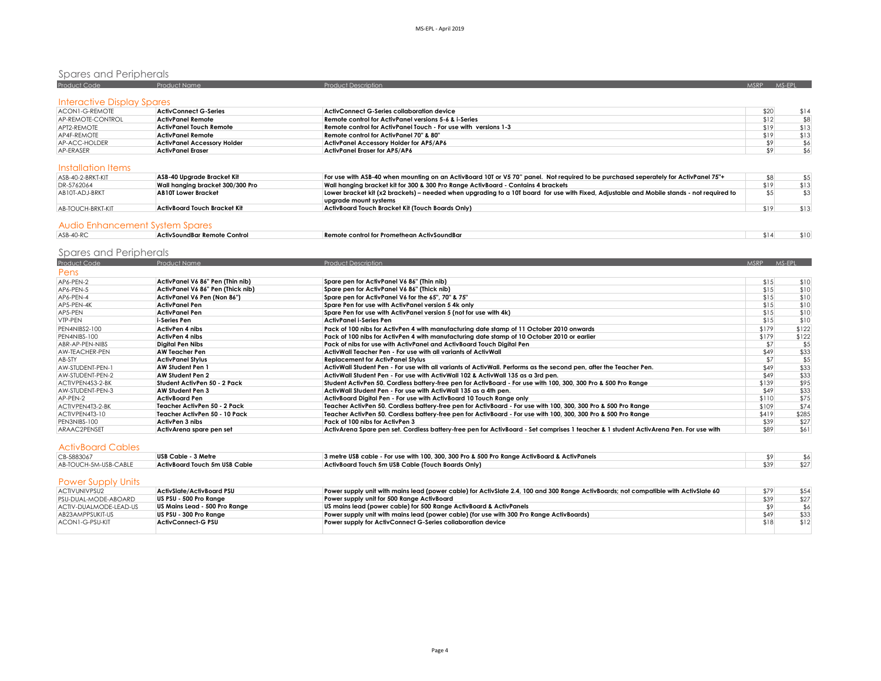# Spares and Peripherals

| Product Code               | <b>Product Name</b>                | <b>Product Description</b>                                      | <b>MSRP</b> | MS-FPI |
|----------------------------|------------------------------------|-----------------------------------------------------------------|-------------|--------|
| Interactive Display Spares |                                    |                                                                 |             |        |
| ACON1-G-REMOTE             | <b>ActivConnect G-Series</b>       | ActivConnect G-Series collaboration device                      | \$20        | \$14   |
| AP-REMOTE-CONTROL          | <b>ActivPanel Remote</b>           | Remote control for ActivPanel versions 5-6 & i-Series           | \$12        | \$8    |
| APT2-REMOTE                | <b>ActivPanel Touch Remote</b>     | Remote control for ActivPanel Touch - For use with versions 1-3 | \$19        | \$13   |
| AP4F-REMOTE                | <b>ActivPanel Remote</b>           | Remote control for ActivPanel 70" & 80"                         | \$19        | \$13   |
| AP-ACC-HOLDER              | <b>ActivPanel Accessory Holder</b> | <b>ActivPanel Accessory Holder for AP5/AP6</b>                  |             | \$6    |
| AP-ERASER                  | <b>ActivPanel Eraser</b>           | ActivPanel Eraser for AP5/AP6                                   |             | \$6    |

#### Installation Items

| ASB-40-2-BRKT-KIT | ASB-40 Uparade Bracket Kit       | For use with ASB-40 when mounting on an ActivBoard 10T or V5 70" panel. Not required to be purchased seperately for ActivPanel 75"+       |      |      |
|-------------------|----------------------------------|-------------------------------------------------------------------------------------------------------------------------------------------|------|------|
| DR-5762064        | Wall hanaina bracket 300/300 Pro | Wall hanging bracket kit for 300 & 300 Pro Range ActivBoard - Contains 4 brackets                                                         | \$19 | \$13 |
| AB10T-ADJ-BRKT    | <b>AB10T Lower Bracket</b>       | Lower bracket kit (x2 brackets) – needed when upgrading to a 10T board for use with Fixed, Adjustable and Mobile stands - not required to |      |      |
|                   |                                  | upgrade mount systems                                                                                                                     |      |      |
| AB-TOUCH-BRKT-KIT | ActivBoard Touch Bracket Kit     | ActivBoard Touch Bracket Kit (Touch Boards Only)                                                                                          |      | \$13 |
|                   |                                  |                                                                                                                                           |      |      |
|                   |                                  |                                                                                                                                           |      |      |

#### Audio Enhancement System Spares

| ASB-40-RC | ActivSoundBar Remote Control | Remote control for Promethean ActivSoundBar |  |  |
|-----------|------------------------------|---------------------------------------------|--|--|
|           |                              |                                             |  |  |

# Spares and Peripherals

| <b>Product Code</b> | Product Name                      | <b>Product Description</b>                                                                                                            | <b>MSRP</b> | MS-EPL |
|---------------------|-----------------------------------|---------------------------------------------------------------------------------------------------------------------------------------|-------------|--------|
| Pens                |                                   |                                                                                                                                       |             |        |
| AP6-PEN-2           | ActivPanel V6 86" Pen (Thin nib)  | Spare pen for ActivPanel V6 86" (Thin nib)                                                                                            | \$15        | \$10   |
| AP6-PEN-5           | ActivPanel V6 86" Pen (Thick nib) | Spare pen for ActivPanel V6 86" (Thick nib)                                                                                           | \$15        | \$10   |
| AP6-PEN-4           | ActivPanel V6 Pen (Non 86")       | Spare pen for ActivPanel V6 for the 65", 70" & 75"                                                                                    | \$15        | \$10   |
| AP5-PEN-4K          | ActivPanel Pen                    | Spare Pen for use with ActivPanel version 5 4k only                                                                                   | \$15        | \$10   |
| AP5-PEN             | ActivPanel Pen                    | Spare Pen for use with ActivPanel version 5 (not for use with 4k)                                                                     | \$15        | \$10   |
| VTP-PEN             | i-Series Pen                      | ActivPanel i-Series Pen                                                                                                               | \$15        | \$10   |
| PEN4NIBS2-100       | <b>ActivPen 4 nibs</b>            | Pack of 100 nibs for ActivPen 4 with manufacturing date stamp of 11 October 2010 onwards                                              | \$179       | \$122  |
| PEN4NIBS-100        | ActivPen 4 nibs                   | Pack of 100 nibs for ActivPen 4 with manufacturing date stamp of 10 October 2010 or earlier                                           | \$179       | \$122  |
| ABR-AP-PEN-NIBS     | <b>Digital Pen Nibs</b>           | Pack of nibs for use with ActivPanel and ActivBoard Touch Digital Pen                                                                 | \$7         | \$5    |
| AW-TEACHER-PEN      | <b>AW Teacher Pen</b>             | ActivWall Teacher Pen - For use with all variants of ActivWall                                                                        | \$49        | \$33   |
| AB-STY              | <b>ActivPanel Stylus</b>          | <b>Replacement for ActivPanel Stylus</b>                                                                                              | \$7         | \$5    |
| AW-STUDENT-PEN-1    | AW Student Pen 1                  | ActivWall Student Pen - For use with all variants of ActivWall. Performs as the second pen, after the Teacher Pen,                    | \$49        | \$33   |
| AW-STUDENT-PEN-2    | AW Student Pen 2                  | ActivWall Student Pen - For use with ActivWall 102 & ActivWall 135 as a 3rd pen.                                                      | \$49        | \$33   |
| ACTIVPEN4S3-2-BK    | Student ActivPen 50 - 2 Pack      | Student ActivPen 50. Cordless battery-free pen for ActivBoard - For use with 100, 300, 300 Pro & 500 Pro Range                        | \$139       | \$95   |
| AW-STUDENT-PEN-3    | AW Student Pen 3                  | ActivWall Student Pen - For use with ActivWall 135 as a 4th pen.                                                                      | \$49        | \$33   |
| AP-PEN-2            | <b>ActivBoard Pen</b>             | ActivBoard Digital Pen - For use with ActivBoard 10 Touch Range only                                                                  | \$110       | \$75   |
| ACTIVPEN4T3-2-BK    | Teacher ActivPen 50 - 2 Pack      | Teacher ActivPen 50. Cordless battery-free pen for ActivBoard - For use with 100, 300, 300 Pro & 500 Pro Range                        | \$109       | \$74   |
| ACTIVPEN4T3-10      | Teacher ActivPen 50 - 10 Pack     | Teacher ActivPen 50. Cordless battery-free pen for ActivBoard - For use with 100, 300, 300 Pro & 500 Pro Range                        | \$419       | \$285  |
| PEN3NIBS-100        | ActivPen 3 nibs                   | Pack of 100 nibs for ActivPen 3                                                                                                       | \$39        | \$27   |
| ARAAC2PENSET        | ActivArena spare pen set          | ActivArena Spare pen set. Cordless battery-free pen for ActivBoard - Set comprises 1 teacher & 1 student ActivArena Pen. For use with | \$89        | \$61   |

### ActivBoard Cables

| CB-5883067            | USB Cable - 3 Metre           | 3 metre USB cable - For use with 100, 300, 300 Pro & 500 Pro Range ActivBoard & ActivPanels |  |
|-----------------------|-------------------------------|---------------------------------------------------------------------------------------------|--|
| AB-TOUCH-5M-USB-CABLE | ActivBoard Touch 5m USB Cable | ActivBoard Touch 5m USB Cable (Touch Boards Only)                                           |  |

## Power Supply Units

| <b>ACTIVUNIVPSU2</b>   | ActivSlate/ActivBoard PSU     | Power supply unit with mains lead (power cable) for ActivSlate 2.4, 100 and 300 Range ActivBoards; not compatible with ActivSlate 60 | \$79 | \$54 |
|------------------------|-------------------------------|--------------------------------------------------------------------------------------------------------------------------------------|------|------|
| PSU-DUAL-MODE-ABOARD   | US PSU - 500 Pro Ranae        | Power supply unit for 500 Range ActivBoard                                                                                           | \$39 | \$27 |
| ACTIV-DUALMODE-LEAD-US | US Mains Lead - 500 Pro Range | US mains lead (power cable) for 500 Ranae ActivBoard & ActivPanels                                                                   |      | \$6  |
| AB23AMPPSUKIT-US       | US PSU - 300 Pro Ranae        | Power supply unit with mains lead (power cable) (for use with 300 Pro Range ActivBoards)                                             | \$49 | \$33 |
| ACON1-G-PSU-KIT        | <b>ActivConnect-G PSU</b>     | Power supply for ActivConnect G-Series collaboration device                                                                          | \$18 | \$12 |
|                        |                               |                                                                                                                                      |      |      |